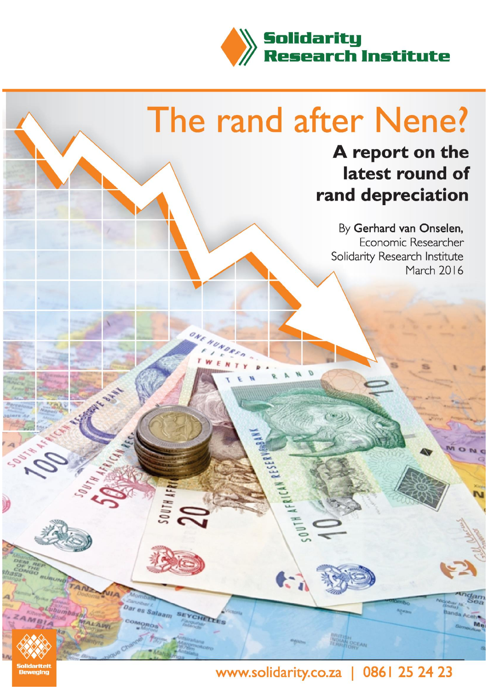

# The rand after Nene?

# A report on the latest round of rand depreciation

By Gerhard van Onselen, Economic Researcher Solidarity Research Institute March 2016

es Salaan

**LEE'S** 

# www.solidarity.co.za | 0861 25 24 23

M.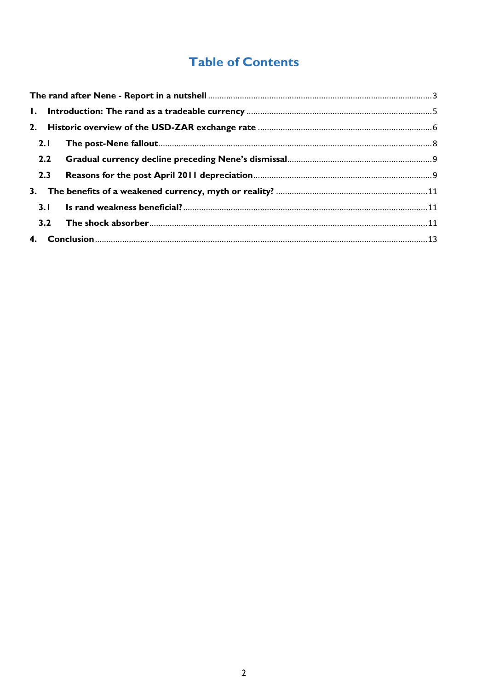# **Table of Contents**

| 2.1 |  |  |
|-----|--|--|
|     |  |  |
| 2.3 |  |  |
|     |  |  |
|     |  |  |
|     |  |  |
|     |  |  |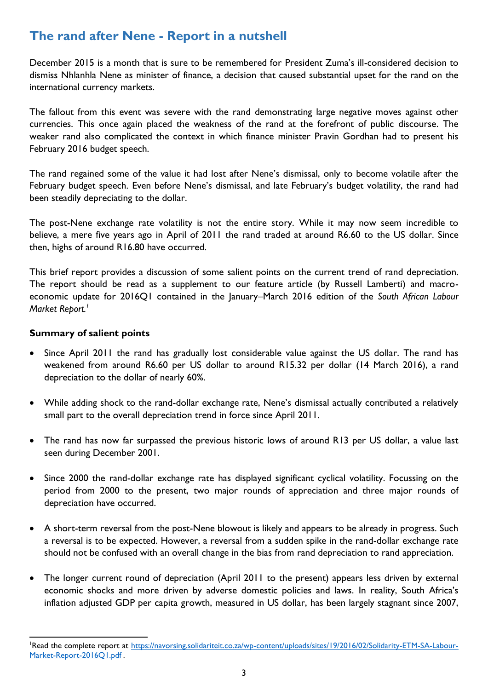# <span id="page-2-0"></span>**The rand after Nene - Report in a nutshell**

December 2015 is a month that is sure to be remembered for President Zuma's ill-considered decision to dismiss Nhlanhla Nene as minister of finance, a decision that caused substantial upset for the rand on the international currency markets.

The fallout from this event was severe with the rand demonstrating large negative moves against other currencies. This once again placed the weakness of the rand at the forefront of public discourse. The weaker rand also complicated the context in which finance minister Pravin Gordhan had to present his February 2016 budget speech.

The rand regained some of the value it had lost after Nene's dismissal, only to become volatile after the February budget speech. Even before Nene's dismissal, and late February's budget volatility, the rand had been steadily depreciating to the dollar.

The post-Nene exchange rate volatility is not the entire story. While it may now seem incredible to believe, a mere five years ago in April of 2011 the rand traded at around R6.60 to the US dollar. Since then, highs of around R16.80 have occurred.

This brief report provides a discussion of some salient points on the current trend of rand depreciation. The report should be read as a supplement to our feature article (by Russell Lamberti) and macroeconomic update for 2016Q1 contained in the January–March 2016 edition of the *South African Labour Market Report.<sup>1</sup>*

#### **Summary of salient points**

- Since April 2011 the rand has gradually lost considerable value against the US dollar. The rand has weakened from around R6.60 per US dollar to around R15.32 per dollar (14 March 2016), a rand depreciation to the dollar of nearly 60%.
- While adding shock to the rand-dollar exchange rate, Nene's dismissal actually contributed a relatively small part to the overall depreciation trend in force since April 2011.
- The rand has now far surpassed the previous historic lows of around R13 per US dollar, a value last seen during December 2001.
- Since 2000 the rand-dollar exchange rate has displayed significant cyclical volatility. Focussing on the period from 2000 to the present, two major rounds of appreciation and three major rounds of depreciation have occurred.
- A short-term reversal from the post-Nene blowout is likely and appears to be already in progress. Such a reversal is to be expected. However, a reversal from a sudden spike in the rand-dollar exchange rate should not be confused with an overall change in the bias from rand depreciation to rand appreciation.
- The longer current round of depreciation (April 2011 to the present) appears less driven by external economic shocks and more driven by adverse domestic policies and laws. In reality, South Africa's inflation adjusted GDP per capita growth, measured in US dollar, has been largely stagnant since 2007,

**<sup>.</sup>** 1Read the complete report at [https://navorsing.solidariteit.co.za/wp-content/uploads/sites/19/2016/02/Solidarity-ETM-SA-Labour-](https://navorsing.solidariteit.co.za/wp-content/uploads/sites/19/2016/02/Solidarity-ETM-SA-Labour-Market-Report-2016Q1.pdf)[Market-Report-2016Q1.pdf](https://navorsing.solidariteit.co.za/wp-content/uploads/sites/19/2016/02/Solidarity-ETM-SA-Labour-Market-Report-2016Q1.pdf).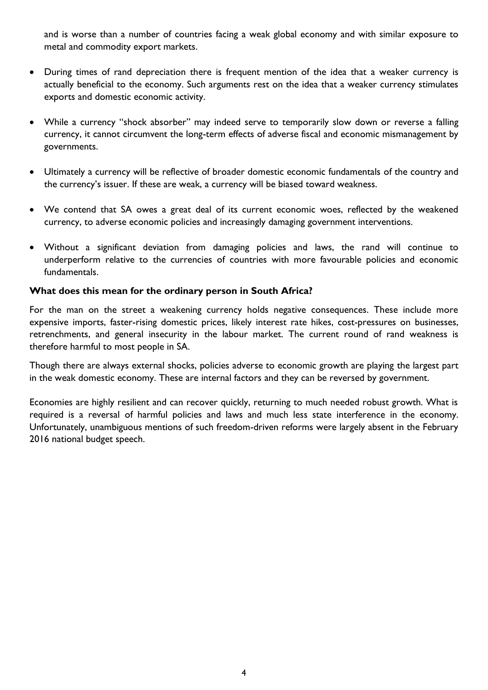and is worse than a number of countries facing a weak global economy and with similar exposure to metal and commodity export markets.

- During times of rand depreciation there is frequent mention of the idea that a weaker currency is actually beneficial to the economy. Such arguments rest on the idea that a weaker currency stimulates exports and domestic economic activity.
- While a currency "shock absorber" may indeed serve to temporarily slow down or reverse a falling currency, it cannot circumvent the long-term effects of adverse fiscal and economic mismanagement by governments.
- Ultimately a currency will be reflective of broader domestic economic fundamentals of the country and the currency's issuer. If these are weak, a currency will be biased toward weakness.
- We contend that SA owes a great deal of its current economic woes, reflected by the weakened currency, to adverse economic policies and increasingly damaging government interventions.
- Without a significant deviation from damaging policies and laws, the rand will continue to underperform relative to the currencies of countries with more favourable policies and economic fundamentals.

#### **What does this mean for the ordinary person in South Africa?**

For the man on the street a weakening currency holds negative consequences. These include more expensive imports, faster-rising domestic prices, likely interest rate hikes, cost-pressures on businesses, retrenchments, and general insecurity in the labour market. The current round of rand weakness is therefore harmful to most people in SA.

Though there are always external shocks, policies adverse to economic growth are playing the largest part in the weak domestic economy. These are internal factors and they can be reversed by government.

Economies are highly resilient and can recover quickly, returning to much needed robust growth. What is required is a reversal of harmful policies and laws and much less state interference in the economy. Unfortunately, unambiguous mentions of such freedom-driven reforms were largely absent in the February 2016 national budget speech.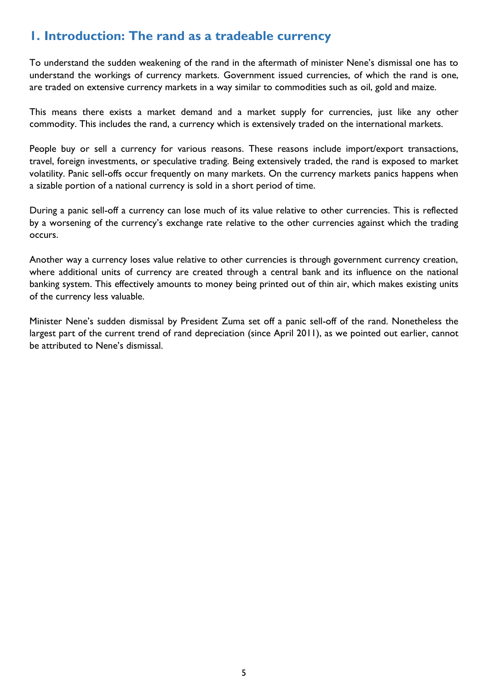## <span id="page-4-0"></span>**1. Introduction: The rand as a tradeable currency**

To understand the sudden weakening of the rand in the aftermath of minister Nene's dismissal one has to understand the workings of currency markets. Government issued currencies, of which the rand is one, are traded on extensive currency markets in a way similar to commodities such as oil, gold and maize.

This means there exists a market demand and a market supply for currencies, just like any other commodity. This includes the rand, a currency which is extensively traded on the international markets.

People buy or sell a currency for various reasons. These reasons include import/export transactions, travel, foreign investments, or speculative trading. Being extensively traded, the rand is exposed to market volatility. Panic sell-offs occur frequently on many markets. On the currency markets panics happens when a sizable portion of a national currency is sold in a short period of time.

During a panic sell-off a currency can lose much of its value relative to other currencies. This is reflected by a worsening of the currency's exchange rate relative to the other currencies against which the trading occurs.

Another way a currency loses value relative to other currencies is through government currency creation, where additional units of currency are created through a central bank and its influence on the national banking system. This effectively amounts to money being printed out of thin air, which makes existing units of the currency less valuable.

Minister Nene's sudden dismissal by President Zuma set off a panic sell-off of the rand. Nonetheless the largest part of the current trend of rand depreciation (since April 2011), as we pointed out earlier, cannot be attributed to Nene's dismissal.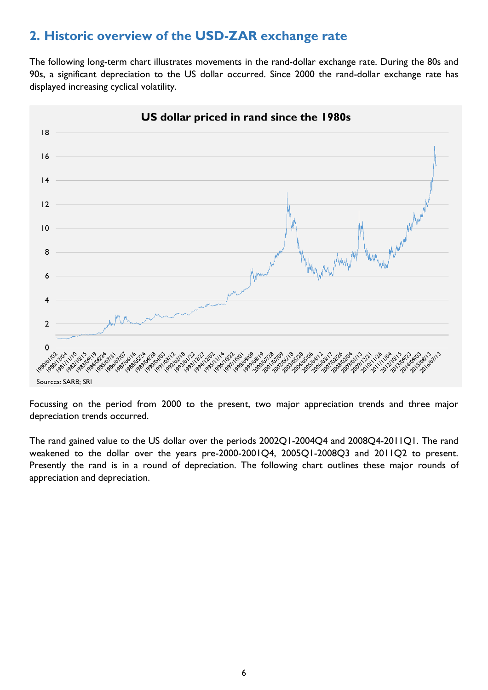## <span id="page-5-0"></span>**2. Historic overview of the USD-ZAR exchange rate**

The following long-term chart illustrates movements in the rand-dollar exchange rate. During the 80s and 90s, a significant depreciation to the US dollar occurred. Since 2000 the rand-dollar exchange rate has displayed increasing cyclical volatility.



Focussing on the period from 2000 to the present, two major appreciation trends and three major depreciation trends occurred.

The rand gained value to the US dollar over the periods 2002Q1-2004Q4 and 2008Q4-2011Q1. The rand weakened to the dollar over the years pre-2000-2001Q4, 2005Q1-2008Q3 and 2011Q2 to present. Presently the rand is in a round of depreciation. The following chart outlines these major rounds of appreciation and depreciation.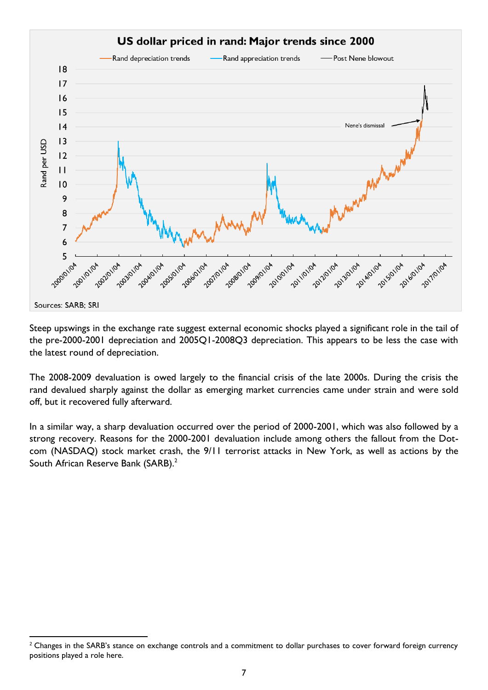

Steep upswings in the exchange rate suggest external economic shocks played a significant role in the tail of the pre-2000-2001 depreciation and 2005Q1-2008Q3 depreciation. This appears to be less the case with the latest round of depreciation.

The 2008-2009 devaluation is owed largely to the financial crisis of the late 2000s. During the crisis the rand devalued sharply against the dollar as emerging market currencies came under strain and were sold off, but it recovered fully afterward.

In a similar way, a sharp devaluation occurred over the period of 2000-2001, which was also followed by a strong recovery. Reasons for the 2000-2001 devaluation include among others the fallout from the Dotcom (NASDAQ) stock market crash, the 9/11 terrorist attacks in New York, as well as actions by the South African Reserve Bank (SARB).<sup>2</sup>

**<sup>.</sup>** <sup>2</sup> Changes in the SARB's stance on exchange controls and a commitment to dollar purchases to cover forward foreign currency positions played a role here.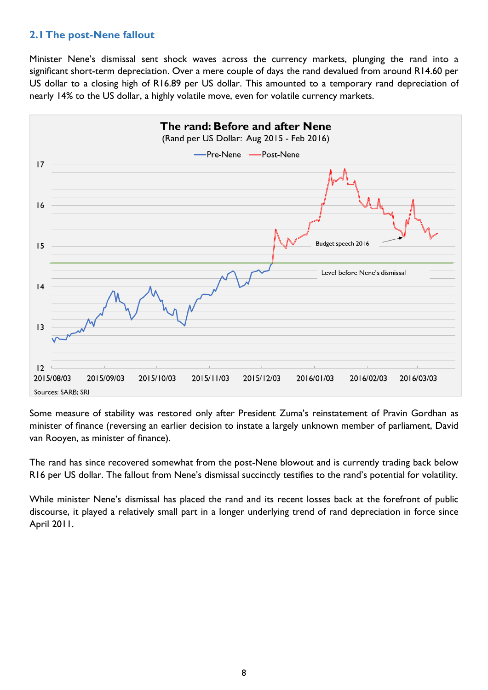#### <span id="page-7-0"></span>**2.1The post-Nene fallout**

Minister Nene's dismissal sent shock waves across the currency markets, plunging the rand into a significant short-term depreciation. Over a mere couple of days the rand devalued from around R14.60 per US dollar to a closing high of R16.89 per US dollar. This amounted to a temporary rand depreciation of nearly 14% to the US dollar, a highly volatile move, even for volatile currency markets.



Some measure of stability was restored only after President Zuma's reinstatement of Pravin Gordhan as minister of finance (reversing an earlier decision to instate a largely unknown member of parliament, David van Rooyen, as minister of finance).

The rand has since recovered somewhat from the post-Nene blowout and is currently trading back below R16 per US dollar. The fallout from Nene's dismissal succinctly testifies to the rand's potential for volatility.

While minister Nene's dismissal has placed the rand and its recent losses back at the forefront of public discourse, it played a relatively small part in a longer underlying trend of rand depreciation in force since April 2011.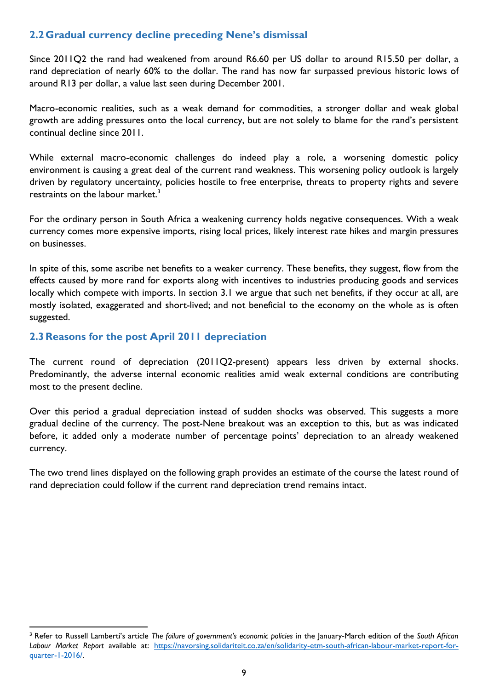## <span id="page-8-0"></span>**2.2Gradual currency decline preceding Nene's dismissal**

Since 2011Q2 the rand had weakened from around R6.60 per US dollar to around R15.50 per dollar, a rand depreciation of nearly 60% to the dollar. The rand has now far surpassed previous historic lows of around R13 per dollar, a value last seen during December 2001.

Macro-economic realities, such as a weak demand for commodities, a stronger dollar and weak global growth are adding pressures onto the local currency, but are not solely to blame for the rand's persistent continual decline since 2011.

While external macro-economic challenges do indeed play a role, a worsening domestic policy environment is causing a great deal of the current rand weakness. This worsening policy outlook is largely driven by regulatory uncertainty, policies hostile to free enterprise, threats to property rights and severe restraints on the labour market.<sup>3</sup>

For the ordinary person in South Africa a weakening currency holds negative consequences. With a weak currency comes more expensive imports, rising local prices, likely interest rate hikes and margin pressures on businesses.

In spite of this, some ascribe net benefits to a weaker currency. These benefits, they suggest, flow from the effects caused by more rand for exports along with incentives to industries producing goods and services locally which compete with imports. In section 3.1 we argue that such net benefits, if they occur at all, are mostly isolated, exaggerated and short-lived; and not beneficial to the economy on the whole as is often suggested.

### <span id="page-8-1"></span>**2.3Reasons for the post April 2011 depreciation**

**.** 

The current round of depreciation (2011Q2-present) appears less driven by external shocks. Predominantly, the adverse internal economic realities amid weak external conditions are contributing most to the present decline.

Over this period a gradual depreciation instead of sudden shocks was observed. This suggests a more gradual decline of the currency. The post-Nene breakout was an exception to this, but as was indicated before, it added only a moderate number of percentage points' depreciation to an already weakened currency.

The two trend lines displayed on the following graph provides an estimate of the course the latest round of rand depreciation could follow if the current rand depreciation trend remains intact.

<sup>3</sup> Refer to Russell Lamberti's article *The failure of government's economic policies* in the January-March edition of the *South African Labour Market Report* available at: [https://navorsing.solidariteit.co.za/en/solidarity-etm-south-african-labour-market-report-for](https://navorsing.solidariteit.co.za/en/solidarity-etm-south-african-labour-market-report-for-quarter-1-2016/)[quarter-1-2016/.](https://navorsing.solidariteit.co.za/en/solidarity-etm-south-african-labour-market-report-for-quarter-1-2016/)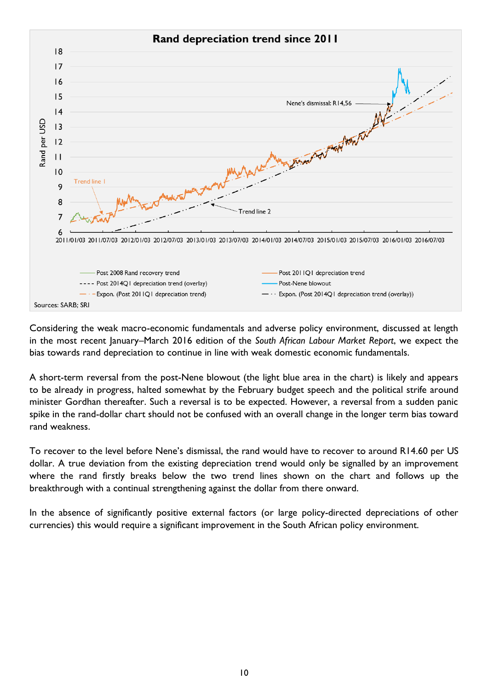

Considering the weak macro-economic fundamentals and adverse policy environment, discussed at length in the most recent January–March 2016 edition of the *South African Labour Market Report*, we expect the bias towards rand depreciation to continue in line with weak domestic economic fundamentals.

A short-term reversal from the post-Nene blowout (the light blue area in the chart) is likely and appears to be already in progress, halted somewhat by the February budget speech and the political strife around minister Gordhan thereafter. Such a reversal is to be expected. However, a reversal from a sudden panic spike in the rand-dollar chart should not be confused with an overall change in the longer term bias toward rand weakness.

To recover to the level before Nene's dismissal, the rand would have to recover to around R14.60 per US dollar. A true deviation from the existing depreciation trend would only be signalled by an improvement where the rand firstly breaks below the two trend lines shown on the chart and follows up the breakthrough with a continual strengthening against the dollar from there onward.

In the absence of significantly positive external factors (or large policy-directed depreciations of other currencies) this would require a significant improvement in the South African policy environment.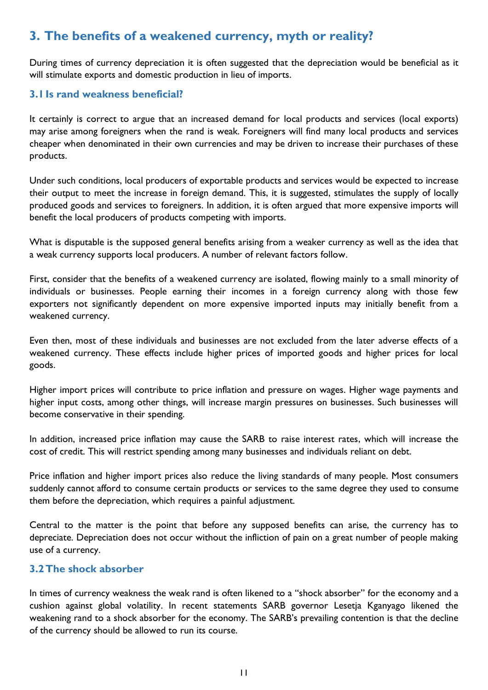# <span id="page-10-0"></span>**3. The benefits of a weakened currency, myth or reality?**

During times of currency depreciation it is often suggested that the depreciation would be beneficial as it will stimulate exports and domestic production in lieu of imports.

### <span id="page-10-1"></span>**3.1Is rand weakness beneficial?**

It certainly is correct to argue that an increased demand for local products and services (local exports) may arise among foreigners when the rand is weak. Foreigners will find many local products and services cheaper when denominated in their own currencies and may be driven to increase their purchases of these products.

Under such conditions, local producers of exportable products and services would be expected to increase their output to meet the increase in foreign demand. This, it is suggested, stimulates the supply of locally produced goods and services to foreigners. In addition, it is often argued that more expensive imports will benefit the local producers of products competing with imports.

What is disputable is the supposed general benefits arising from a weaker currency as well as the idea that a weak currency supports local producers. A number of relevant factors follow.

First, consider that the benefits of a weakened currency are isolated, flowing mainly to a small minority of individuals or businesses. People earning their incomes in a foreign currency along with those few exporters not significantly dependent on more expensive imported inputs may initially benefit from a weakened currency.

Even then, most of these individuals and businesses are not excluded from the later adverse effects of a weakened currency. These effects include higher prices of imported goods and higher prices for local goods.

Higher import prices will contribute to price inflation and pressure on wages. Higher wage payments and higher input costs, among other things, will increase margin pressures on businesses. Such businesses will become conservative in their spending.

In addition, increased price inflation may cause the SARB to raise interest rates, which will increase the cost of credit. This will restrict spending among many businesses and individuals reliant on debt.

Price inflation and higher import prices also reduce the living standards of many people. Most consumers suddenly cannot afford to consume certain products or services to the same degree they used to consume them before the depreciation, which requires a painful adjustment.

Central to the matter is the point that before any supposed benefits can arise, the currency has to depreciate. Depreciation does not occur without the infliction of pain on a great number of people making use of a currency.

### <span id="page-10-2"></span>**3.2The shock absorber**

In times of currency weakness the weak rand is often likened to a "shock absorber" for the economy and a cushion against global volatility. In recent statements SARB governor Lesetja Kganyago likened the weakening rand to a shock absorber for the economy. The SARB's prevailing contention is that the decline of the currency should be allowed to run its course.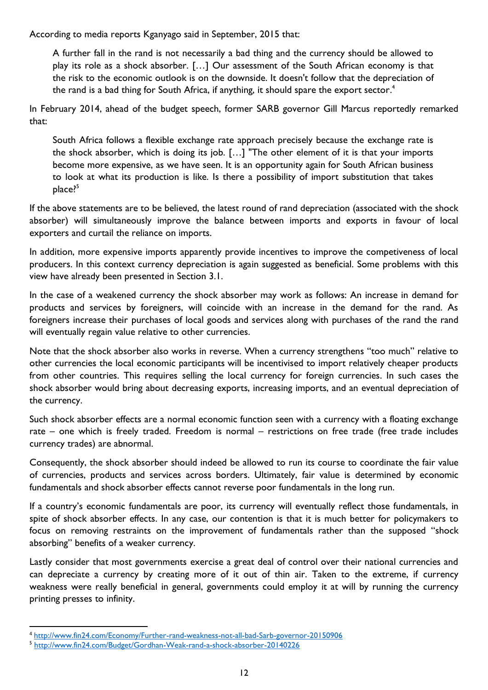According to media reports Kganyago said in September, 2015 that:

A further fall in the rand is not necessarily a bad thing and the currency should be allowed to play its role as a shock absorber. […] Our assessment of the South African economy is that the risk to the economic outlook is on the downside. It doesn't follow that the depreciation of the rand is a bad thing for South Africa, if anything, it should spare the export sector. $^4$ 

In February 2014, ahead of the budget speech, former SARB governor Gill Marcus reportedly remarked that:

South Africa follows a flexible exchange rate approach precisely because the exchange rate is the shock absorber, which is doing its job. […] "The other element of it is that your imports become more expensive, as we have seen. It is an opportunity again for South African business to look at what its production is like. Is there a possibility of import substitution that takes place?<sup>5</sup>

If the above statements are to be believed, the latest round of rand depreciation (associated with the shock absorber) will simultaneously improve the balance between imports and exports in favour of local exporters and curtail the reliance on imports.

In addition, more expensive imports apparently provide incentives to improve the competiveness of local producers. In this context currency depreciation is again suggested as beneficial. Some problems with this view have already been presented in Section 3.1.

In the case of a weakened currency the shock absorber may work as follows: An increase in demand for products and services by foreigners, will coincide with an increase in the demand for the rand. As foreigners increase their purchases of local goods and services along with purchases of the rand the rand will eventually regain value relative to other currencies.

Note that the shock absorber also works in reverse. When a currency strengthens "too much" relative to other currencies the local economic participants will be incentivised to import relatively cheaper products from other countries. This requires selling the local currency for foreign currencies. In such cases the shock absorber would bring about decreasing exports, increasing imports, and an eventual depreciation of the currency.

Such shock absorber effects are a normal economic function seen with a currency with a floating exchange rate – one which is freely traded. Freedom is normal – restrictions on free trade (free trade includes currency trades) are abnormal.

Consequently, the shock absorber should indeed be allowed to run its course to coordinate the fair value of currencies, products and services across borders. Ultimately, fair value is determined by economic fundamentals and shock absorber effects cannot reverse poor fundamentals in the long run.

If a country's economic fundamentals are poor, its currency will eventually reflect those fundamentals, in spite of shock absorber effects. In any case, our contention is that it is much better for policymakers to focus on removing restraints on the improvement of fundamentals rather than the supposed "shock absorbing" benefits of a weaker currency.

Lastly consider that most governments exercise a great deal of control over their national currencies and can depreciate a currency by creating more of it out of thin air. Taken to the extreme, if currency weakness were really beneficial in general, governments could employ it at will by running the currency printing presses to infinity.

<sup>1</sup> <sup>4</sup> <http://www.fin24.com/Economy/Further-rand-weakness-not-all-bad-Sarb-governor-20150906>

<sup>5</sup> <http://www.fin24.com/Budget/Gordhan-Weak-rand-a-shock-absorber-20140226>